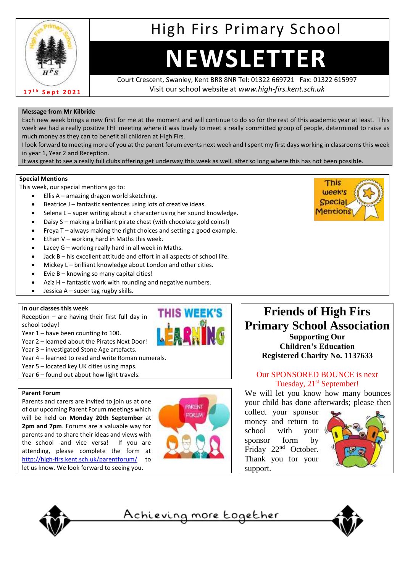

# High Firs Primary School

# **NEWSLETTER**

Court Crescent, Swanley, Kent BR8 8NR Tel: 01322 669721 Fax: 01322 615997 Visit our school website at *www.high-firs.kent.sch.uk*

#### **Message from Mr Kilbride**

Each new week brings a new first for me at the moment and will continue to do so for the rest of this academic year at least. This week we had a really positive FHF meeting where it was lovely to meet a really committed group of people, determined to raise as much money as they can to benefit all children at High Firs.

I look forward to meeting more of you at the parent forum events next week and I spent my first days working in classrooms this week in year 1, Year 2 and Reception.

It was great to see a really full clubs offering get underway this week as well, after so long where this has not been possible.

#### **Special Mentions**

This week, our special mentions go to:

- Ellis A amazing dragon world sketching.
- Beatrice J fantastic sentences using lots of creative ideas.
- Selena L super writing about a character using her sound knowledge.
- Daisy S making a brilliant pirate chest (with chocolate gold coins!)
- Freya T always making the right choices and setting a good example.
- Ethan  $V$  working hard in Maths this week.
- Lacey  $G$  working really hard in all week in Maths.
- Jack B his excellent attitude and effort in all aspects of school life.
- Mickey L brilliant knowledge about London and other cities.
- Evie B knowing so many capital cities!
- Aziz H fantastic work with rounding and negative numbers.
- Jessica A super tag rugby skills.

#### **In our classes this week**

Reception – are having their first full day in school today!

- Year 1 have been counting to 100.
- Year 2 learned about the Pirates Next Door!
- Year 3 investigated Stone Age artefacts.
- Year 4 learned to read and write Roman numerals.
- Year 5 located key UK cities using maps.
- Year 6 found out about how light travels.

#### **Parent Forum**

Parents and carers are invited to join us at one of our upcoming Parent Forum meetings which will be held on **Monday 20th September** at **2pm and 7pm**. Forums are a valuable way for parents and to share their ideas and views with the school -and vice versa! If you are attending, please complete the form at <http://high-firs.kent.sch.uk/parentforum/> to let us know. We look forward to seeing you.



**THIS WEEK'S** 

**HARN** 



## **Friends of High Firs Primary School Association Supporting Our**

**Children's Education Registered Charity No. 1137633**

#### Our SPONSORED BOUNCE is next Tuesday, 21<sup>st</sup> September!

We will let you know how many bounces your child has done afterwards; please then

collect your sponsor money and return to school with your sponsor form by Friday 22<sup>nd</sup> October. Thank you for your support.





<u>Achieving more together</u>

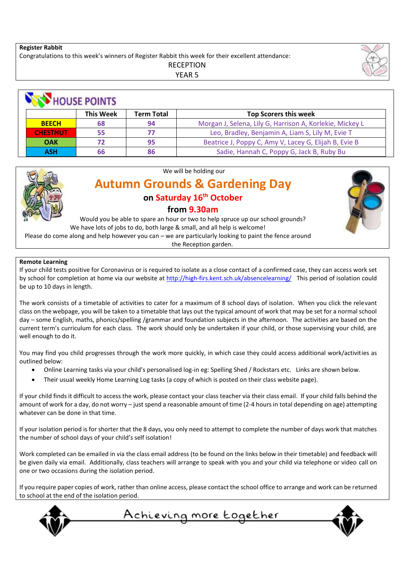#### **Register Rabbit**

Congratulations to this week's winners of Register Rabbit this week for their excellent attendance:

RECEPTION

YEAR 5

| <b>HOUSE POINTS</b> |                  |                   |                                                          |
|---------------------|------------------|-------------------|----------------------------------------------------------|
|                     | <b>This Week</b> | <b>Term Total</b> | <b>Top Scorers this week</b>                             |
| <b>BEECH</b>        | 68               | 94                | Morgan J, Selena, Lily G, Harrison A, Korlekie, Mickey L |
| <b>CHESTNUT</b>     | 55               | 77                | Leo, Bradley, Benjamin A, Liam S, Lily M, Evie T         |
| <b>OAK</b>          | 72               | 95                | Beatrice J, Poppy C, Amy V, Lacey G, Elijah B, Evie B    |
| <b>ASH</b>          | 66               | 86                | Sadie, Hannah C, Poppy G, Jack B, Ruby Bu                |



#### We will be holding our

# **Autumn Grounds & Gardening Day on Saturday 16th October from 9.30am**

Would you be able to spare an hour or two to help spruce up our school grounds? We have lots of jobs to do, both large & small, and all help is welcome! Please do come along and help however you can – we are particularly looking to paint the fence around

the Reception garden.

#### **Remote Learning**

If your child tests positive for Coronavirus or is required to isolate as a close contact of a confirmed case, they can access work set by school for completion at home via our website a[t http://high-firs.kent.sch.uk/absencelearning/](http://high-firs.kent.sch.uk/absencelearning/) This period of isolation could be up to 10 days in length.

The work consists of a timetable of activities to cater for a maximum of 8 school days of isolation. When you click the relevant class on the webpage, you will be taken to a timetable that lays out the typical amount of work that may be set for a normal school day – some English, maths, phonics/spelling /grammar and foundation subjects in the afternoon. The activities are based on the current term's curriculum for each class. The work should only be undertaken if your child, or those supervising your child, are well enough to do it.

You may find you child progresses through the work more quickly, in which case they could access additional work/activities as outlined below:

- Online Learning tasks via your child's personalised log-in eg: Spelling Shed / Rockstars etc. Links are shown below.
- Their usual weekly Home Learning Log tasks (a copy of which is posted on their class website page).

If your child finds it difficult to access the work, please contact your class teacher via their class email. If your child falls behind the amount of work for a day, do not worry – just spend a reasonable amount of time (2-4 hours in total depending on age) attempting whatever can be done in that time.

If your isolation period is for shorter that the 8 days, you only need to attempt to complete the number of days work that matches the number of school days of your child's self isolation!

Work completed can be emailed in via the class email address (to be found on the links below in their timetable) and feedback will be given daily via email. Additionally, class teachers will arrange to speak with you and your child via telephone or video call on one or two occasions during the isolation period.

If you require paper copies of work, rather than online access, please contact the school office to arrange and work can be returned to school at the end of the isolation period.